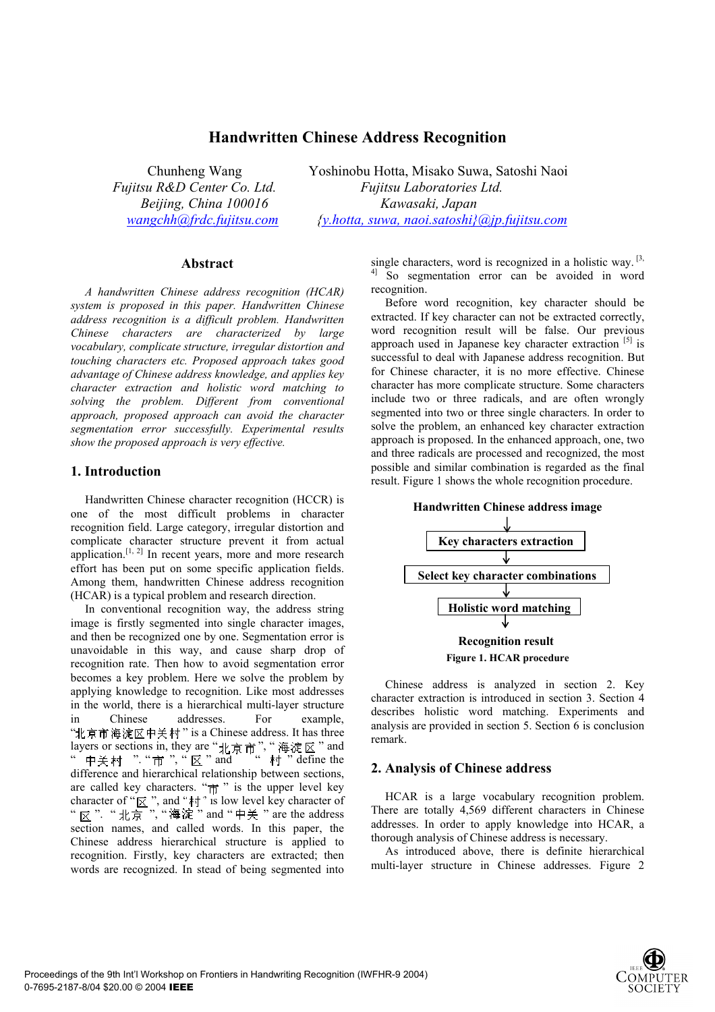# **Handwritten Chinese Address Recognition**

Chunheng Wang Yoshinobu Hotta, Misako Suwa, Satoshi Naoi *Fujitsu R&D Center Co. Ltd. Fujitsu Laboratories Ltd. Beijing, China 100016 Kawasaki, Japan wangchh@frdc.fujitsu.com {y.hotta, suwa, naoi.satoshi}@jp.fujitsu.com*

## **Abstract**

*A handwritten Chinese address recognition (HCAR) system is proposed in this paper. Handwritten Chinese address recognition is a difficult problem. Handwritten Chinese characters are characterized by large vocabulary, complicate structure, irregular distortion and touching characters etc. Proposed approach takes good advantage of Chinese address knowledge, and applies key character extraction and holistic word matching to solving the problem. Different from conventional approach, proposed approach can avoid the character segmentation error successfully. Experimental results show the proposed approach is very effective.* 

## **1. Introduction**

Handwritten Chinese character recognition (HCCR) is one of the most difficult problems in character recognition field. Large category, irregular distortion and complicate character structure prevent it from actual application.<sup>[1, 2]</sup> In recent years, more and more research effort has been put on some specific application fields. Among them, handwritten Chinese address recognition (HCAR) is a typical problem and research direction.

In conventional recognition way, the address string image is firstly segmented into single character images, and then be recognized one by one. Segmentation error is unavoidable in this way, and cause sharp drop of recognition rate. Then how to avoid segmentation error becomes a key problem. Here we solve the problem by applying knowledge to recognition. Like most addresses in the world, there is a hierarchical multi-layer structure in Chinese addresses. For example, "北京市海淀区中关村" is a Chinese address. It has three layers or sections in, they are " $\# \pi \pi$ ", "海淀区" and "中关村 ""市","区"and " 村 " define the difference and hierarchical relationship between sections, are called key characters. " $\vec{m}$ " is the upper level key character of " $\overline{\mathbb{X}}$ ", and " $\overline{\mathbb{M}}$ " is low level key character of " 反 ". " 北京 ", "海淀 " and " 中关 " are the address section names, and called words. In this paper, the Chinese address hierarchical structure is applied to recognition. Firstly, key characters are extracted; then words are recognized. In stead of being segmented into

single characters, word is recognized in a holistic way.  $[3, 3]$ <sup>4]</sup> So segmentation error can be avoided in word recognition.

Before word recognition, key character should be extracted. If key character can not be extracted correctly, word recognition result will be false. Our previous approach used in Japanese key character extraction [5] is successful to deal with Japanese address recognition. But for Chinese character, it is no more effective. Chinese character has more complicate structure. Some characters include two or three radicals, and are often wrongly segmented into two or three single characters. In order to solve the problem, an enhanced key character extraction approach is proposed. In the enhanced approach, one, two and three radicals are processed and recognized, the most possible and similar combination is regarded as the final result. Figure 1 shows the whole recognition procedure.



Chinese address is analyzed in section 2. Key character extraction is introduced in section 3. Section 4 describes holistic word matching. Experiments and analysis are provided in section 5. Section 6 is conclusion remark.

## **2. Analysis of Chinese address**

HCAR is a large vocabulary recognition problem. There are totally 4,569 different characters in Chinese addresses. In order to apply knowledge into HCAR, a thorough analysis of Chinese address is necessary.

As introduced above, there is definite hierarchical multi-layer structure in Chinese addresses. Figure 2

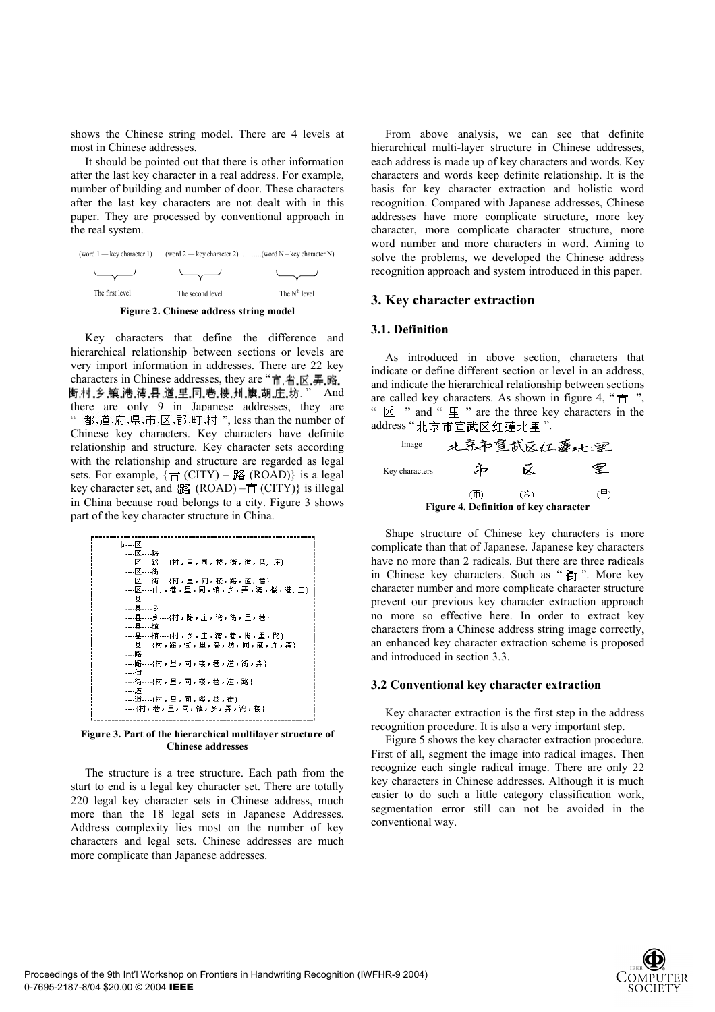shows the Chinese string model. There are 4 levels at most in Chinese addresses.

It should be pointed out that there is other information after the last key character in a real address. For example, number of building and number of door. These characters after the last key characters are not dealt with in this paper. They are processed by conventional approach in the real system.



**Figure 2. Chinese address string model** 

Key characters that define the difference and hierarchical relationship between sections or levels are very import information in addresses. There are 22 key characters in Chinese addresses, they are "市省. 区. 弄. 略. 街村,乡镇,港,湾,县,道,里,同,巷,楼,州,旗,胡,庄,坊. " And there are only 9 in Japanese addresses, they are 都,道,府,県,市,区,郡,町,村", less than the number of Chinese key characters. Key characters have definite relationship and structure. Key character sets according with the relationship and structure are regarded as legal sets. For example,  $\{\pi\}$  (CITY) – 路 (ROAD)} is a legal key character set, and  $\{ \mathbb{R} \}$  (ROAD) –  $\pi$  (CITY) is illegal in China because road belongs to a city. Figure 3 shows part of the key character structure in China.



**Figure 3. Part of the hierarchical multilayer structure of Chinese addresses** 

The structure is a tree structure. Each path from the start to end is a legal key character set. There are totally 220 legal key character sets in Chinese address, much more than the 18 legal sets in Japanese Addresses. Address complexity lies most on the number of key characters and legal sets. Chinese addresses are much more complicate than Japanese addresses.

From above analysis, we can see that definite hierarchical multi-layer structure in Chinese addresses, each address is made up of key characters and words. Key characters and words keep definite relationship. It is the basis for key character extraction and holistic word recognition. Compared with Japanese addresses, Chinese addresses have more complicate structure, more key character, more complicate character structure, more word number and more characters in word. Aiming to solve the problems, we developed the Chinese address recognition approach and system introduced in this paper.

#### **3. Key character extraction**

## **3.1. Definition**

As introduced in above section, characters that indicate or define different section or level in an address, and indicate the hierarchical relationship between sections are called key characters. As shown in figure 4, " $\vec{\pi}$ ", "  $\mathbb{Z}$  " and "  $\mathbb{H}$  " are the three key characters in the address "北京市宣武区红莲北里".



Shape structure of Chinese key characters is more complicate than that of Japanese. Japanese key characters have no more than 2 radicals. But there are three radicals in Chinese key characters. Such as "街". More key character number and more complicate character structure prevent our previous key character extraction approach no more so effective here. In order to extract key characters from a Chinese address string image correctly, an enhanced key character extraction scheme is proposed and introduced in section 3.3.

### **3.2 Conventional key character extraction**

Key character extraction is the first step in the address recognition procedure. It is also a very important step.

Figure 5 shows the key character extraction procedure. First of all, segment the image into radical images. Then recognize each single radical image. There are only 22 key characters in Chinese addresses. Although it is much easier to do such a little category classification work, segmentation error still can not be avoided in the conventional way.

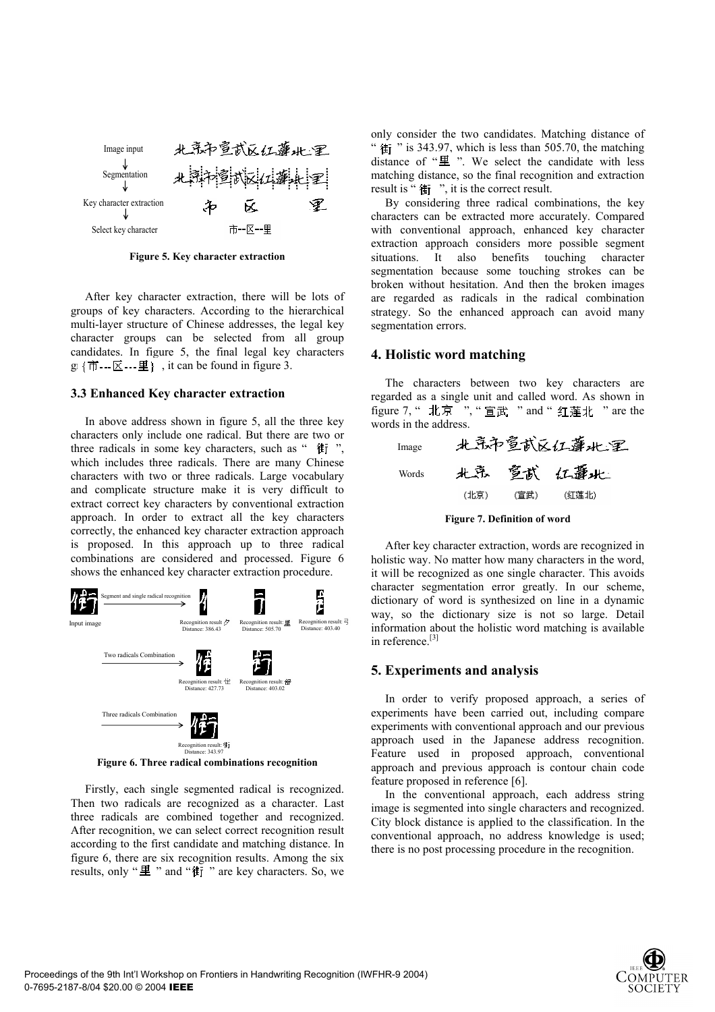

**Figure 5. Key character extraction** 

After key character extraction, there will be lots of groups of key characters. According to the hierarchical multi-layer structure of Chinese addresses, the legal key character groups can be selected from all group candidates. In figure 5, the final legal key characters  $g: \{ \vec{\pi} \cdots \vec{\Xi} \cdots \vec{\Xi} \}$ , it can be found in figure 3.

#### **3.3 Enhanced Key character extraction**

In above address shown in figure 5, all the three key characters only include one radical. But there are two or three radicals in some key characters, such as " **桂** ". which includes three radicals. There are many Chinese characters with two or three radicals. Large vocabulary and complicate structure make it is very difficult to extract correct key characters by conventional extraction approach. In order to extract all the key characters correctly, the enhanced key character extraction approach is proposed. In this approach up to three radical combinations are considered and processed. Figure 6 shows the enhanced key character extraction procedure.



Firstly, each single segmented radical is recognized. Then two radicals are recognized as a character. Last three radicals are combined together and recognized. After recognition, we can select correct recognition result according to the first candidate and matching distance. In figure 6, there are six recognition results. Among the six results, only " $\mathbf{\underline{H}}$ " and " $\mathbf{\underline{t}}$ " are key characters. So, we only consider the two candidates. Matching distance of "  $\text{E}$  " is 343.97, which is less than 505.70, the matching distance of " $\Psi$ ". We select the candidate with less matching distance, so the final recognition and extraction result is " $#$ j", it is the correct result.

By considering three radical combinations, the key characters can be extracted more accurately. Compared with conventional approach, enhanced key character extraction approach considers more possible segment situations. It also benefits touching character segmentation because some touching strokes can be broken without hesitation. And then the broken images are regarded as radicals in the radical combination strategy. So the enhanced approach can avoid many segmentation errors.

### **4. Holistic word matching**

The characters between two key characters are regarded as a single unit and called word. As shown in figure 7, " 北京 ", " 宣武 " and " 红莲北 " are the words in the address.





After key character extraction, words are recognized in holistic way. No matter how many characters in the word, it will be recognized as one single character. This avoids character segmentation error greatly. In our scheme, dictionary of word is synthesized on line in a dynamic way, so the dictionary size is not so large. Detail information about the holistic word matching is available in reference<sup>[3]</sup>

## **5. Experiments and analysis**

In order to verify proposed approach, a series of experiments have been carried out, including compare experiments with conventional approach and our previous approach used in the Japanese address recognition. Feature used in proposed approach, conventional approach and previous approach is contour chain code feature proposed in reference [6].

In the conventional approach, each address string image is segmented into single characters and recognized. City block distance is applied to the classification. In the conventional approach, no address knowledge is used; there is no post processing procedure in the recognition.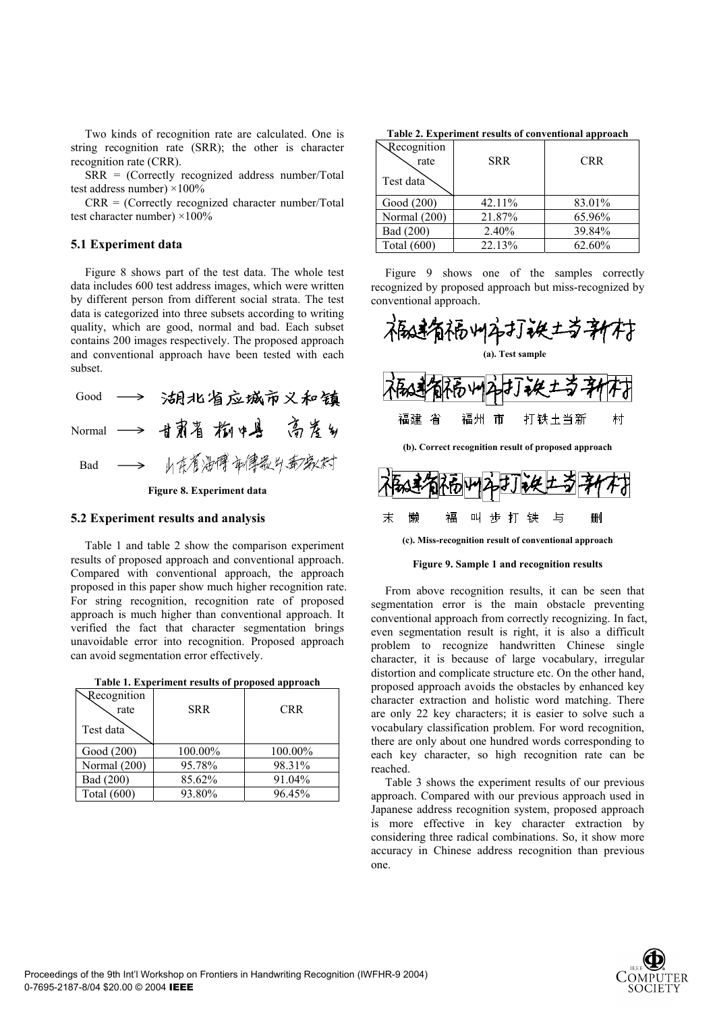Two kinds of recognition rate are calculated. One is string recognition rate (SRR); the other is character recognition rate (CRR).

SRR = (Correctly recognized address number/Total test address number) ×100%

 $CRR = (Correctly recognized character number/Total)$ test character number)  $\times 100\%$ 

### **5.1 Experiment data**

Figure 8 shows part of the test data. The whole test data includes 600 test address images, which were written by different person from different social strata. The test data is categorized into three subsets according to writing quality, which are good, normal and bad. Each subset contains 200 images respectively. The proposed approach and conventional approach have been tested with each subset.

|                           | Good $\longrightarrow$ |  |                  | 湖北省应城市义和镇             |
|---------------------------|------------------------|--|------------------|-----------------------|
|                           |                        |  |                  | Normal -> 甘肃省 构中县 高差乡 |
| Bad                       |                        |  | ——> 山东省海博市健长公安发展 |                       |
| Figure 8. Experiment data |                        |  |                  |                       |

#### **5.2 Experiment results and analysis**

Table 1 and table 2 show the comparison experiment results of proposed approach and conventional approach. Compared with conventional approach, the approach proposed in this paper show much higher recognition rate. For string recognition, recognition rate of proposed approach is much higher than conventional approach. It verified the fact that character segmentation brings unavoidable error into recognition. Proposed approach can avoid segmentation error effectively.

| Recognition<br>rate | <b>SRR</b> | <b>CRR</b> |
|---------------------|------------|------------|
| Test data           |            |            |
| Good (200)          | 100.00%    | 100.00%    |
| Normal (200)        | 95.78%     | 98.31%     |
| Bad (200)           | 85.62%     | 91.04%     |
| Total (600)         | 93.80%     | 96.45%     |

| Table 1. Experiment results of proposed approach |  |
|--------------------------------------------------|--|
|--------------------------------------------------|--|

**Table 2. Experiment results of conventional approach** 

| Recognition<br>rate | <b>SRR</b> | <b>CRR</b> |
|---------------------|------------|------------|
| Test data           |            |            |
| Good (200)          | $42.11\%$  | 83.01%     |
| Normal (200)        | 21.87%     | 65.96%     |
| Bad (200)           | 2.40%      | 39.84%     |
| Total (600)         | 22.13%     | 62.60%     |

Figure 9 shows one of the samples correctly recognized by proposed approach but miss-recognized by conventional approach.





一与

删

末

懒

褔

#### **Figure 9. Sample 1 and recognition results**

From above recognition results, it can be seen that segmentation error is the main obstacle preventing conventional approach from correctly recognizing. In fact, even segmentation result is right, it is also a difficult problem to recognize handwritten Chinese single character, it is because of large vocabulary, irregular distortion and complicate structure etc. On the other hand, proposed approach avoids the obstacles by enhanced key character extraction and holistic word matching. There are only 22 key characters; it is easier to solve such a vocabulary classification problem. For word recognition, there are only about one hundred words corresponding to each key character, so high recognition rate can be reached.

Table 3 shows the experiment results of our previous approach. Compared with our previous approach used in Japanese address recognition system, proposed approach is more effective in key character extraction by considering three radical combinations. So, it show more accuracy in Chinese address recognition than previous one.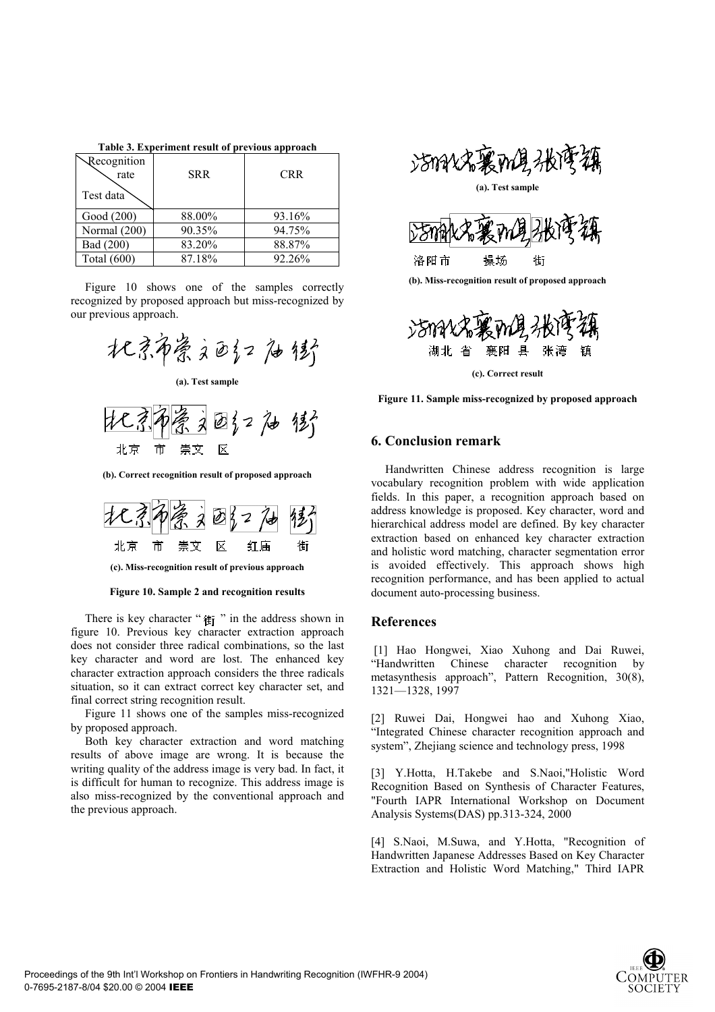| Recognition<br>rate | <b>SRR</b> | <b>CRR</b> |  |  |
|---------------------|------------|------------|--|--|
| Test data           |            |            |  |  |
| Good (200)          | 88.00%     | 93.16%     |  |  |
| Normal (200)        | 90.35%     | 94.75%     |  |  |
| Bad (200)           | 83.20%     | 88.87%     |  |  |
| Total (600)         | 87.18%     | 92.26%     |  |  |

**Table 3. Experiment result of previous approach** 

Figure 10 shows one of the samples correctly recognized by proposed approach but miss-recognized by our previous approach.





**(b). Correct recognition result of proposed approach** 



**(c). Miss-recognition result of previous approach** 

#### **Figure 10. Sample 2 and recognition results**

There is key character " $\text{tr }$ " in the address shown in figure 10. Previous key character extraction approach does not consider three radical combinations, so the last key character and word are lost. The enhanced key character extraction approach considers the three radicals situation, so it can extract correct key character set, and final correct string recognition result.

Figure 11 shows one of the samples miss-recognized by proposed approach.

Both key character extraction and word matching results of above image are wrong. It is because the writing quality of the address image is very bad. In fact, it is difficult for human to recognize. This address image is also miss-recognized by the conventional approach and the previous approach.





**(b). Miss-recognition result of proposed approach** 



**(c). Correct result** 

**Figure 11. Sample miss-recognized by proposed approach** 

## **6. Conclusion remark**

Handwritten Chinese address recognition is large vocabulary recognition problem with wide application fields. In this paper, a recognition approach based on address knowledge is proposed. Key character, word and hierarchical address model are defined. By key character extraction based on enhanced key character extraction and holistic word matching, character segmentation error is avoided effectively. This approach shows high recognition performance, and has been applied to actual document auto-processing business.

#### **References**

 [1] Hao Hongwei, Xiao Xuhong and Dai Ruwei, "Handwritten Chinese character recognition by metasynthesis approach", Pattern Recognition, 30(8), 1321—1328, 1997

[2] Ruwei Dai, Hongwei hao and Xuhong Xiao, "Integrated Chinese character recognition approach and system", Zhejiang science and technology press, 1998

[3] Y.Hotta, H.Takebe and S.Naoi,"Holistic Word Recognition Based on Synthesis of Character Features, "Fourth IAPR International Workshop on Document Analysis Systems(DAS) pp.313-324, 2000

[4] S.Naoi, M.Suwa, and Y.Hotta, "Recognition of Handwritten Japanese Addresses Based on Key Character Extraction and Holistic Word Matching," Third IAPR